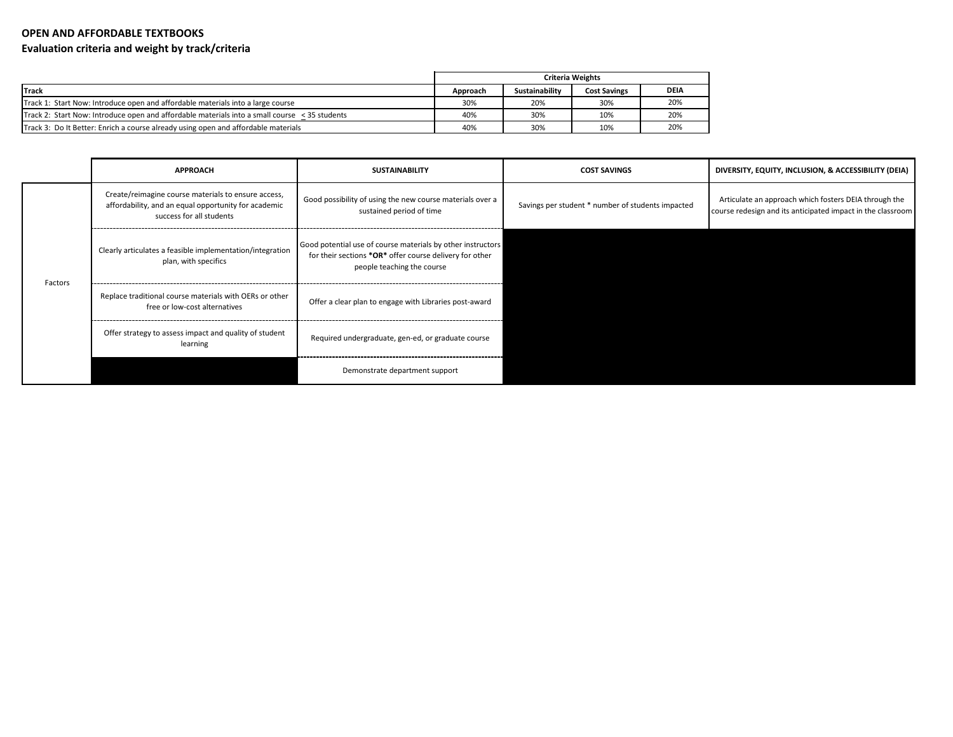## **OPEN AND AFFORDABLE TEXTBOOKS Evaluation criteria and weight by track/criteria**

|                                                                                                    | <b>Criteria Weights</b> |                |                     |      |
|----------------------------------------------------------------------------------------------------|-------------------------|----------------|---------------------|------|
| Track                                                                                              | Approach                | Sustainability | <b>Cost Savings</b> | DEIA |
| Track 1: Start Now: Introduce open and affordable materials into a large course                    | 30%                     | 20%            | 30%                 | 20%  |
| Track 2: Start Now: Introduce open and affordable materials into a small course $\leq$ 35 students | 40%                     | 30%            | 10%                 | 20%  |
| Track 3: Do It Better: Enrich a course already using open and affordable materials                 | 40%                     | 30%            | 10%                 | 20%  |

|         | <b>APPROACH</b>                                                                                                                         | <b>SUSTAINABILITY</b>                                                                                                                                | <b>COST SAVINGS</b>                               | DIVERSITY, EQUITY, INCLUSION, & ACCESSIBILITY (DEIA)                                                                 |
|---------|-----------------------------------------------------------------------------------------------------------------------------------------|------------------------------------------------------------------------------------------------------------------------------------------------------|---------------------------------------------------|----------------------------------------------------------------------------------------------------------------------|
| Factors | Create/reimagine course materials to ensure access,<br>affordability, and an equal opportunity for academic<br>success for all students | Good possibility of using the new course materials over a<br>sustained period of time                                                                | Savings per student * number of students impacted | Articulate an approach which fosters DEIA through the<br>course redesign and its anticipated impact in the classroom |
|         | Clearly articulates a feasible implementation/integration<br>plan, with specifics                                                       | Good potential use of course materials by other instructors<br>for their sections *OR* offer course delivery for other<br>people teaching the course |                                                   |                                                                                                                      |
|         | Replace traditional course materials with OERs or other<br>free or low-cost alternatives                                                | Offer a clear plan to engage with Libraries post-award                                                                                               |                                                   |                                                                                                                      |
|         | Offer strategy to assess impact and quality of student<br>learning                                                                      | Required undergraduate, gen-ed, or graduate course                                                                                                   |                                                   |                                                                                                                      |
|         |                                                                                                                                         | Demonstrate department support                                                                                                                       |                                                   |                                                                                                                      |